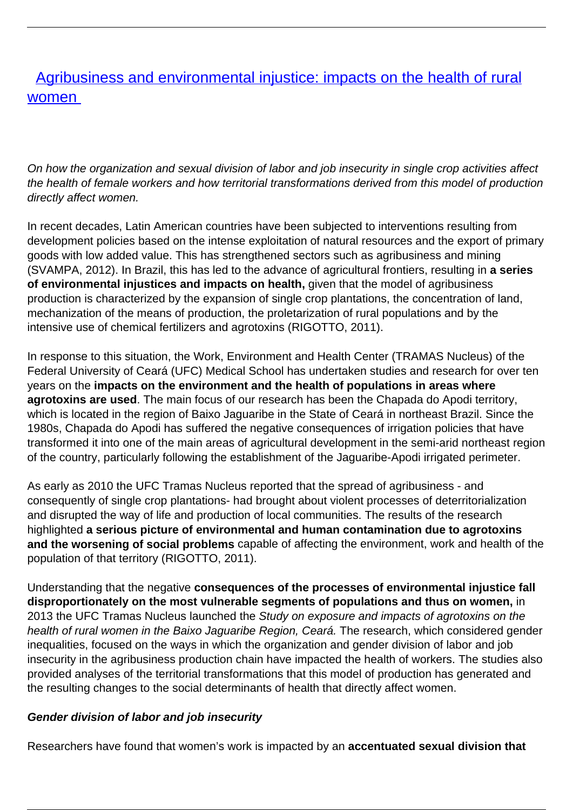## [Agribusiness and environmental injustice: impacts on the health of rural](/bulletin-articles/agribusiness-and-environmental-injustice-impacts-on-the-health-of-rural-women) [women](/bulletin-articles/agribusiness-and-environmental-injustice-impacts-on-the-health-of-rural-women)

On how the organization and sexual division of labor and job insecurity in single crop activities affect the health of female workers and how territorial transformations derived from this model of production directly affect women.

In recent decades, Latin American countries have been subjected to interventions resulting from development policies based on the intense exploitation of natural resources and the export of primary goods with low added value. This has strengthened sectors such as agribusiness and mining (SVAMPA, 2012). In Brazil, this has led to the advance of agricultural frontiers, resulting in **a series of environmental injustices and impacts on health,** given that the model of agribusiness production is characterized by the expansion of single crop plantations, the concentration of land, mechanization of the means of production, the proletarization of rural populations and by the intensive use of chemical fertilizers and agrotoxins (RIGOTTO, 2011).

In response to this situation, the Work, Environment and Health Center (TRAMAS Nucleus) of the Federal University of Ceará (UFC) Medical School has undertaken studies and research for over ten years on the **impacts on the environment and the health of populations in areas where agrotoxins are used**. The main focus of our research has been the Chapada do Apodi territory, which is located in the region of Baixo Jaguaribe in the State of Ceará in northeast Brazil. Since the 1980s, Chapada do Apodi has suffered the negative consequences of irrigation policies that have transformed it into one of the main areas of agricultural development in the semi-arid northeast region of the country, particularly following the establishment of the Jaguaribe-Apodi irrigated perimeter.

As early as 2010 the UFC Tramas Nucleus reported that the spread of agribusiness - and consequently of single crop plantations- had brought about violent processes of deterritorialization and disrupted the way of life and production of local communities. The results of the research highlighted **a serious picture of environmental and human contamination due to agrotoxins and the worsening of social problems** capable of affecting the environment, work and health of the population of that territory (RIGOTTO, 2011).

Understanding that the negative **consequences of the processes of environmental injustice fall disproportionately on the most vulnerable segments of populations and thus on women,** in 2013 the UFC Tramas Nucleus launched the Study on exposure and impacts of agrotoxins on the health of rural women in the Baixo Jaguaribe Region, Ceará. The research, which considered gender inequalities, focused on the ways in which the organization and gender division of labor and job insecurity in the agribusiness production chain have impacted the health of workers. The studies also provided analyses of the territorial transformations that this model of production has generated and the resulting changes to the social determinants of health that directly affect women.

## **Gender division of labor and job insecurity**

Researchers have found that women's work is impacted by an **accentuated sexual division that**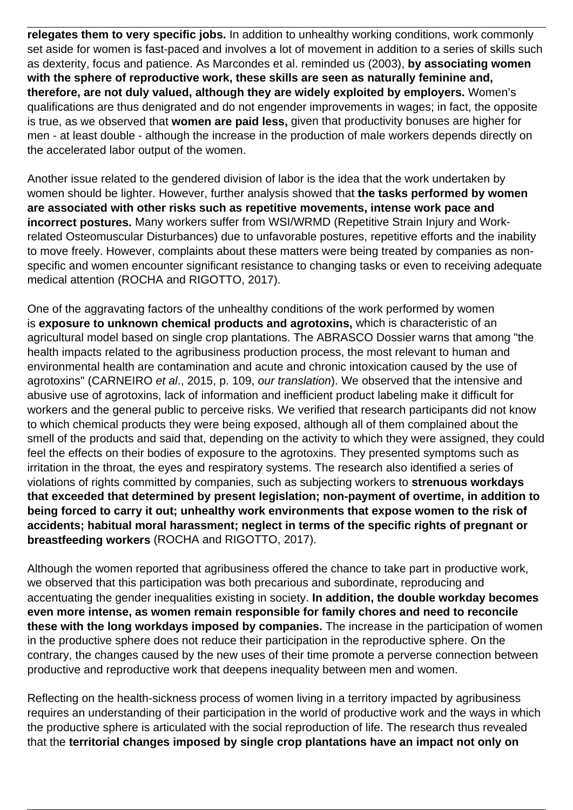**relegates them to very specific jobs.** In addition to unhealthy working conditions, work commonly set aside for women is fast-paced and involves a lot of movement in addition to a series of skills such as dexterity, focus and patience. As Marcondes et al. reminded us (2003), **by associating women with the sphere of reproductive work, these skills are seen as naturally feminine and, therefore, are not duly valued, although they are widely exploited by employers.** Women's qualifications are thus denigrated and do not engender improvements in wages; in fact, the opposite is true, as we observed that **women are paid less,** given that productivity bonuses are higher for men - at least double - although the increase in the production of male workers depends directly on the accelerated labor output of the women.

Another issue related to the gendered division of labor is the idea that the work undertaken by women should be lighter. However, further analysis showed that **the tasks performed by women are associated with other risks such as repetitive movements, intense work pace and incorrect postures.** Many workers suffer from WSI/WRMD (Repetitive Strain Injury and Workrelated Osteomuscular Disturbances) due to unfavorable postures, repetitive efforts and the inability to move freely. However, complaints about these matters were being treated by companies as nonspecific and women encounter significant resistance to changing tasks or even to receiving adequate medical attention (ROCHA and RIGOTTO, 2017).

One of the aggravating factors of the unhealthy conditions of the work performed by women is **exposure to unknown chemical products and agrotoxins,** which is characteristic of an agricultural model based on single crop plantations. The ABRASCO Dossier warns that among "the health impacts related to the agribusiness production process, the most relevant to human and environmental health are contamination and acute and chronic intoxication caused by the use of agrotoxins" (CARNEIRO et al., 2015, p. 109, our translation). We observed that the intensive and abusive use of agrotoxins, lack of information and inefficient product labeling make it difficult for workers and the general public to perceive risks. We verified that research participants did not know to which chemical products they were being exposed, although all of them complained about the smell of the products and said that, depending on the activity to which they were assigned, they could feel the effects on their bodies of exposure to the agrotoxins. They presented symptoms such as irritation in the throat, the eyes and respiratory systems. The research also identified a series of violations of rights committed by companies, such as subjecting workers to **strenuous workdays that exceeded that determined by present legislation; non-payment of overtime, in addition to being forced to carry it out; unhealthy work environments that expose women to the risk of accidents; habitual moral harassment; neglect in terms of the specific rights of pregnant or breastfeeding workers** (ROCHA and RIGOTTO, 2017).

Although the women reported that agribusiness offered the chance to take part in productive work, we observed that this participation was both precarious and subordinate, reproducing and accentuating the gender inequalities existing in society. **In addition, the double workday becomes even more intense, as women remain responsible for family chores and need to reconcile these with the long workdays imposed by companies.** The increase in the participation of women in the productive sphere does not reduce their participation in the reproductive sphere. On the contrary, the changes caused by the new uses of their time promote a perverse connection between productive and reproductive work that deepens inequality between men and women.

Reflecting on the health-sickness process of women living in a territory impacted by agribusiness requires an understanding of their participation in the world of productive work and the ways in which the productive sphere is articulated with the social reproduction of life. The research thus revealed that the **territorial changes imposed by single crop plantations have an impact not only on**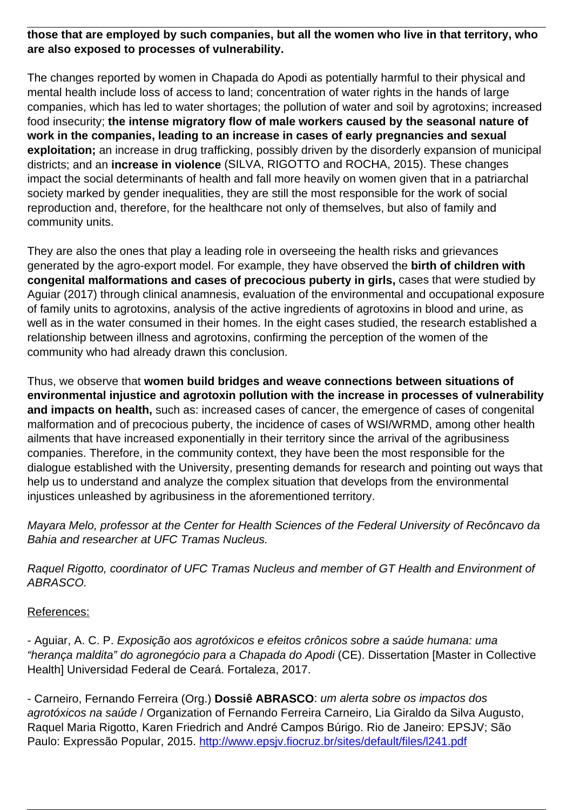## **those that are employed by such companies, but all the women who live in that territory, who are also exposed to processes of vulnerability.**

The changes reported by women in Chapada do Apodi as potentially harmful to their physical and mental health include loss of access to land; concentration of water rights in the hands of large companies, which has led to water shortages; the pollution of water and soil by agrotoxins; increased food insecurity; **the intense migratory flow of male workers caused by the seasonal nature of work in the companies, leading to an increase in cases of early pregnancies and sexual exploitation;** an increase in drug trafficking, possibly driven by the disorderly expansion of municipal districts; and an **increase in violence** (SILVA, RIGOTTO and ROCHA, 2015). These changes impact the social determinants of health and fall more heavily on women given that in a patriarchal society marked by gender inequalities, they are still the most responsible for the work of social reproduction and, therefore, for the healthcare not only of themselves, but also of family and community units.

They are also the ones that play a leading role in overseeing the health risks and grievances generated by the agro-export model. For example, they have observed the **birth of children with congenital malformations and cases of precocious puberty in girls,** cases that were studied by Aguiar (2017) through clinical anamnesis, evaluation of the environmental and occupational exposure of family units to agrotoxins, analysis of the active ingredients of agrotoxins in blood and urine, as well as in the water consumed in their homes. In the eight cases studied, the research established a relationship between illness and agrotoxins, confirming the perception of the women of the community who had already drawn this conclusion.

Thus, we observe that **women build bridges and weave connections between situations of environmental injustice and agrotoxin pollution with the increase in processes of vulnerability and impacts on health,** such as: increased cases of cancer, the emergence of cases of congenital malformation and of precocious puberty, the incidence of cases of WSI/WRMD, among other health ailments that have increased exponentially in their territory since the arrival of the agribusiness companies. Therefore, in the community context, they have been the most responsible for the dialogue established with the University, presenting demands for research and pointing out ways that help us to understand and analyze the complex situation that develops from the environmental injustices unleashed by agribusiness in the aforementioned territory.

Mayara Melo, professor at the Center for Health Sciences of the Federal University of Recôncavo da Bahia and researcher at UFC Tramas Nucleus.

Raquel Rigotto, coordinator of UFC Tramas Nucleus and member of GT Health and Environment of ABRASCO.

## References:

- Aguiar, A. C. P. Exposição aos agrotóxicos e efeitos crônicos sobre a saúde humana: uma "herança maldita" do agronegócio para a Chapada do Apodi (CE). Dissertation [Master in Collective Health] Universidad Federal de Ceará. Fortaleza, 2017.

- Carneiro, Fernando Ferreira (Org.) **Dossiê ABRASCO**: um alerta sobre os impactos dos agrotóxicos na saúde / Organization of Fernando Ferreira Carneiro, Lia Giraldo da Silva Augusto, Raquel Maria Rigotto, Karen Friedrich and André Campos Búrigo. Rio de Janeiro: EPSJV; São Paulo: Expressão Popular, 2015. http://www.epsiy.fiocruz.br/sites/default/files/l241.pdf